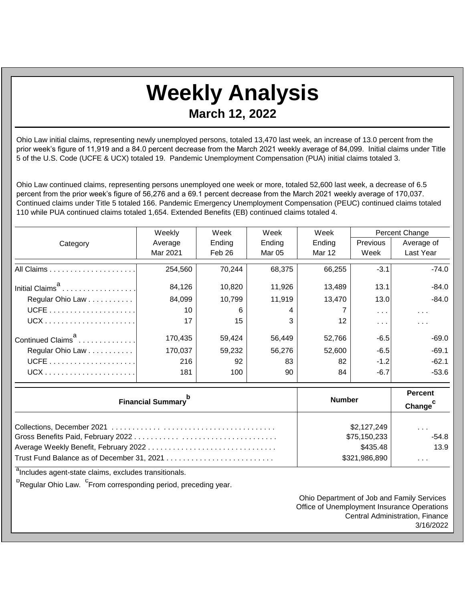## **Weekly Analysis March 12, 2022**

Ohio Law initial claims, representing newly unemployed persons, totaled 13,470 last week, an increase of 13.0 percent from the prior week's figure of 11,919 and a 84.0 percent decrease from the March 2021 weekly average of 84,099. Initial claims under Title 5 of the U.S. Code (UCFE & UCX) totaled 19. Pandemic Unemployment Compensation (PUA) initial claims totaled 3.

Ohio Law continued claims, representing persons unemployed one week or more, totaled 52,600 last week, a decrease of 6.5 percent from the prior week's figure of 56,276 and a 69.1 percent decrease from the March 2021 weekly average of 170,037. Continued claims under Title 5 totaled 166. Pandemic Emergency Unemployment Compensation (PEUC) continued claims totaled 110 while PUA continued claims totaled 1,654. Extended Benefits (EB) continued claims totaled 4.

|                               | Weekly   | Week   | Week   | Week    | Percent Change          |                      |
|-------------------------------|----------|--------|--------|---------|-------------------------|----------------------|
| Category                      | Average  | Ending | Ending | Ending  | Previous                | Average of           |
|                               | Mar 2021 | Feb 26 | Mar 05 | Mar 12  | Week                    | Last Year            |
|                               | 254,560  | 70,244 | 68,375 | 66,255  | $-3.1$                  | $-74.0$              |
| Initial Claims <sup>a</sup>   | 84,126   | 10,820 | 11,926 | 13,489  | 13.1                    | $-84.0$              |
| Regular Ohio Law              | 84,099   | 10,799 | 11,919 | 13.470  | 13.0                    | $-84.0$              |
|                               | 10       | 6      | 4      |         | $\sim 100$ km s $^{-1}$ | $\sim$ $\sim$ $\sim$ |
|                               | 17       | 15     | 3      | $12 \,$ | .                       | $\cdots$             |
| Continued Claims <sup>a</sup> | 170,435  | 59,424 | 56,449 | 52,766  | $-6.5$                  | $-69.0$              |
| Regular Ohio Law              | 170,037  | 59,232 | 56,276 | 52,600  | $-6.5$                  | $-69.1$              |
|                               | 216      | 92     | 83     | 82      | $-1.2$                  | $-62.1$              |
|                               | 181      | 100    | 90     | 84      | $-6.7$                  | $-53.6$              |

| <b>Financial Summary</b> <sup>p</sup> | <b>Number</b> | Percent<br>Change <sup>c</sup> |  |
|---------------------------------------|---------------|--------------------------------|--|
|                                       | \$2,127,249   | $\cdots$                       |  |
|                                       | \$75,150,233  | $-54.8$                        |  |
|                                       | \$435.48      | 13.9                           |  |
|                                       | \$321,986,890 | $\cdots$                       |  |

<sup>a</sup>Includes agent-state claims, excludes transitionals.

<sup>b</sup>Regular Ohio Law. <sup>C</sup>From corresponding period, preceding year.

Ohio Department of Job and Family Services Office of Unemployment Insurance Operations Central Administration, Finance 3/16/2022